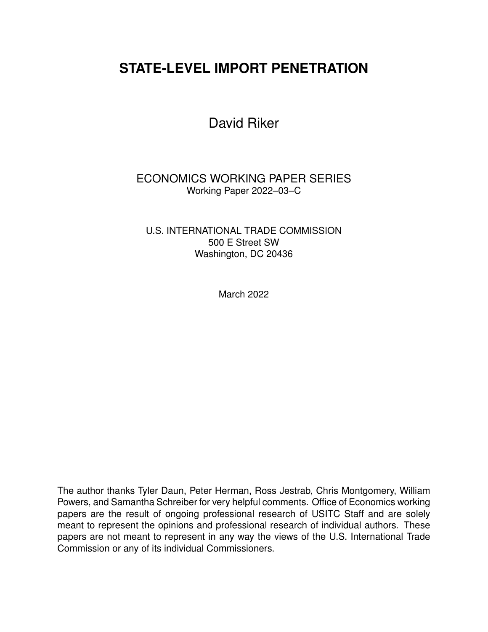# **STATE-LEVEL IMPORT PENETRATION**

David Riker

ECONOMICS WORKING PAPER SERIES Working Paper 2022–03–C

U.S. INTERNATIONAL TRADE COMMISSION 500 E Street SW Washington, DC 20436

March 2022

The author thanks Tyler Daun, Peter Herman, Ross Jestrab, Chris Montgomery, William Powers, and Samantha Schreiber for very helpful comments. Office of Economics working papers are the result of ongoing professional research of USITC Staff and are solely meant to represent the opinions and professional research of individual authors. These papers are not meant to represent in any way the views of the U.S. International Trade Commission or any of its individual Commissioners.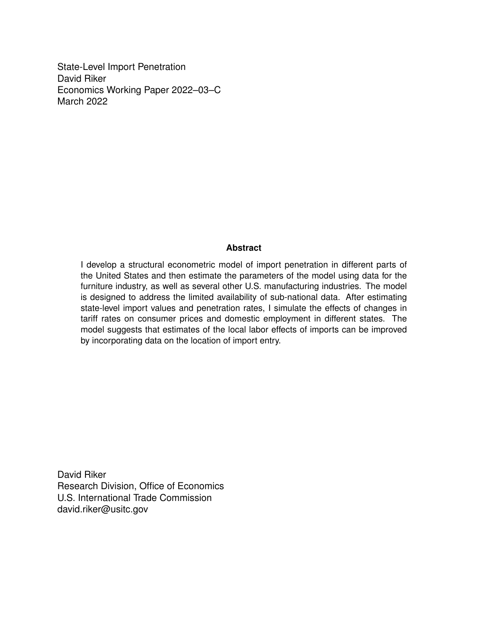State-Level Import Penetration David Riker Economics Working Paper 2022–03–C March 2022

#### **Abstract**

I develop a structural econometric model of import penetration in different parts of the United States and then estimate the parameters of the model using data for the furniture industry, as well as several other U.S. manufacturing industries. The model is designed to address the limited availability of sub-national data. After estimating state-level import values and penetration rates, I simulate the effects of changes in tariff rates on consumer prices and domestic employment in different states. The model suggests that estimates of the local labor effects of imports can be improved by incorporating data on the location of import entry.

David Riker Research Division, Office of Economics U.S. International Trade Commission david.riker@usitc.gov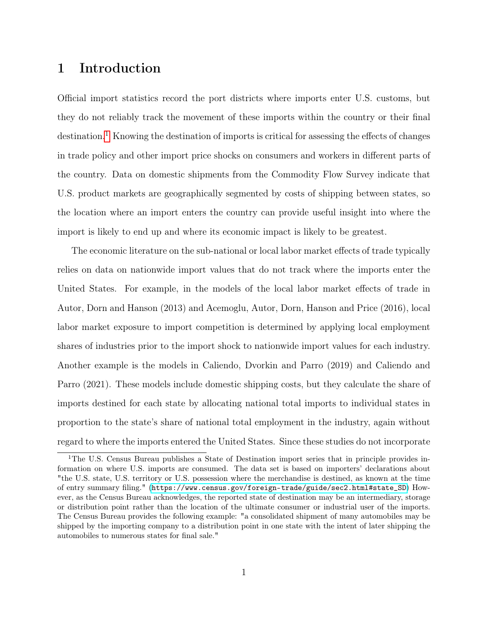# 1 Introduction

Official import statistics record the port districts where imports enter U.S. customs, but they do not reliably track the movement of these imports within the country or their final  $\det$  destination.<sup>[1](#page-2-0)</sup> Knowing the destination of imports is critical for assessing the effects of changes in trade policy and other import price shocks on consumers and workers in different parts of the country. Data on domestic shipments from the Commodity Flow Survey indicate that U.S. product markets are geographically segmented by costs of shipping between states, so the location where an import enters the country can provide useful insight into where the import is likely to end up and where its economic impact is likely to be greatest.

The economic literature on the sub-national or local labor market effects of trade typically relies on data on nationwide import values that do not track where the imports enter the United States. For example, in the models of the local labor market effects of trade in Autor, Dorn and Hanson (2013) and Acemoglu, Autor, Dorn, Hanson and Price (2016), local labor market exposure to import competition is determined by applying local employment shares of industries prior to the import shock to nationwide import values for each industry. Another example is the models in Caliendo, Dvorkin and Parro (2019) and Caliendo and Parro (2021). These models include domestic shipping costs, but they calculate the share of imports destined for each state by allocating national total imports to individual states in proportion to the state's share of national total employment in the industry, again without regard to where the imports entered the United States. Since these studies do not incorporate

<span id="page-2-0"></span><sup>&</sup>lt;sup>1</sup>The U.S. Census Bureau publishes a State of Destination import series that in principle provides information on where U.S. imports are consumed. The data set is based on importers' declarations about "the U.S. state, U.S. territory or U.S. possession where the merchandise is destined, as known at the time of entry summary filing." ([https://www.census.gov/foreign-trade/guide/sec2.html#state\\_SD](https://www.census.gov/foreign-trade/guide/sec2.html##state_SD)) However, as the Census Bureau acknowledges, the reported state of destination may be an intermediary, storage or distribution point rather than the location of the ultimate consumer or industrial user of the imports. The Census Bureau provides the following example: "a consolidated shipment of many automobiles may be shipped by the importing company to a distribution point in one state with the intent of later shipping the automobiles to numerous states for final sale."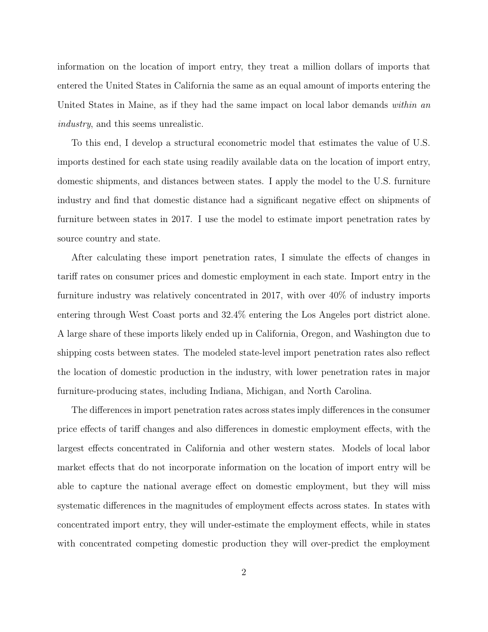information on the location of import entry, they treat a million dollars of imports that entered the United States in California the same as an equal amount of imports entering the United States in Maine, as if they had the same impact on local labor demands within an industry, and this seems unrealistic.

To this end, I develop a structural econometric model that estimates the value of U.S. imports destined for each state using readily available data on the location of import entry, domestic shipments, and distances between states. I apply the model to the U.S. furniture industry and find that domestic distance had a significant negative effect on shipments of furniture between states in 2017. I use the model to estimate import penetration rates by source country and state.

After calculating these import penetration rates, I simulate the effects of changes in tariff rates on consumer prices and domestic employment in each state. Import entry in the furniture industry was relatively concentrated in 2017, with over 40% of industry imports entering through West Coast ports and 32.4% entering the Los Angeles port district alone. A large share of these imports likely ended up in California, Oregon, and Washington due to shipping costs between states. The modeled state-level import penetration rates also reflect the location of domestic production in the industry, with lower penetration rates in major furniture-producing states, including Indiana, Michigan, and North Carolina.

The differences in import penetration rates across states imply differences in the consumer price effects of tariff changes and also differences in domestic employment effects, with the largest effects concentrated in California and other western states. Models of local labor market effects that do not incorporate information on the location of import entry will be able to capture the national average effect on domestic employment, but they will miss systematic differences in the magnitudes of employment effects across states. In states with concentrated import entry, they will under-estimate the employment effects, while in states with concentrated competing domestic production they will over-predict the employment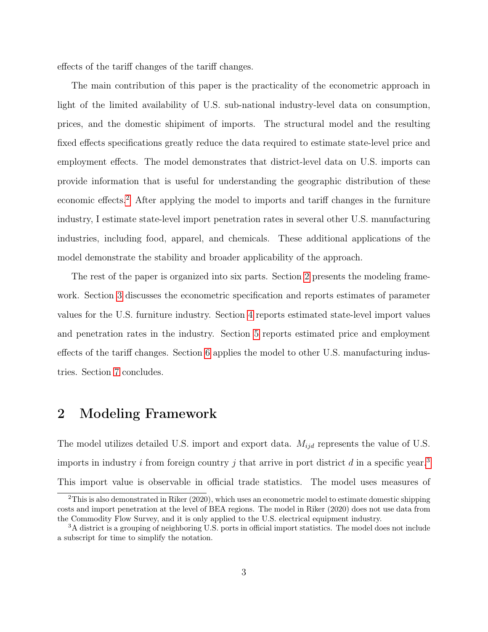effects of the tariff changes of the tariff changes.

The main contribution of this paper is the practicality of the econometric approach in light of the limited availability of U.S. sub-national industry-level data on consumption, prices, and the domestic shipiment of imports. The structural model and the resulting fixed effects specifications greatly reduce the data required to estimate state-level price and employment effects. The model demonstrates that district-level data on U.S. imports can provide information that is useful for understanding the geographic distribution of these economic effects.[2](#page-4-0) After applying the model to imports and tariff changes in the furniture industry, I estimate state-level import penetration rates in several other U.S. manufacturing industries, including food, apparel, and chemicals. These additional applications of the model demonstrate the stability and broader applicability of the approach.

The rest of the paper is organized into six parts. Section [2](#page-4-1) presents the modeling framework. Section [3](#page-7-0) discusses the econometric specification and reports estimates of parameter values for the U.S. furniture industry. Section [4](#page-11-0) reports estimated state-level import values and penetration rates in the industry. Section [5](#page-16-0) reports estimated price and employment effects of the tariff changes. Section [6](#page-22-0) applies the model to other U.S. manufacturing industries. Section [7](#page-27-0) concludes.

## <span id="page-4-1"></span>2 Modeling Framework

The model utilizes detailed U.S. import and export data.  $M_{ijd}$  represents the value of U.S. imports in industry  $i$  from foreign country  $j$  that arrive in port district  $d$  in a specific year.<sup>[3](#page-4-2)</sup> This import value is observable in official trade statistics. The model uses measures of

<span id="page-4-0"></span> $2$ This is also demonstrated in Riker (2020), which uses an econometric model to estimate domestic shipping costs and import penetration at the level of BEA regions. The model in Riker (2020) does not use data from the Commodity Flow Survey, and it is only applied to the U.S. electrical equipment industry.

<span id="page-4-2"></span><sup>3</sup>A district is a grouping of neighboring U.S. ports in official import statistics. The model does not include a subscript for time to simplify the notation.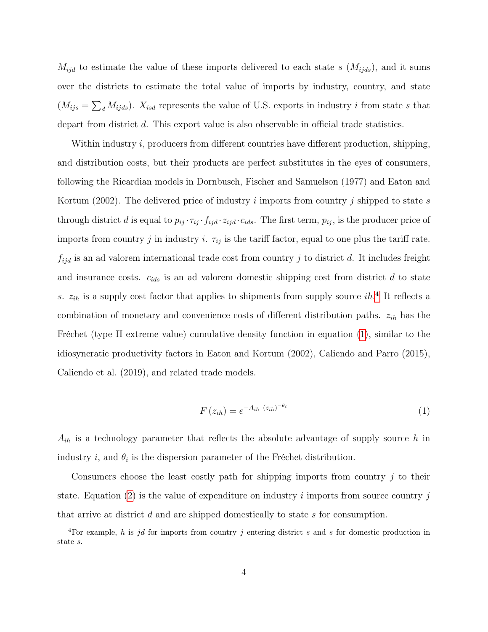$M_{ijd}$  to estimate the value of these imports delivered to each state s  $(M_{ijds})$ , and it sums over the districts to estimate the total value of imports by industry, country, and state  $(M_{ijs} = \sum_{d} M_{ijds})$ .  $X_{isd}$  represents the value of U.S. exports in industry i from state s that depart from district d. This export value is also observable in official trade statistics.

Within industry *i*, producers from different countries have different production, shipping, and distribution costs, but their products are perfect substitutes in the eyes of consumers, following the Ricardian models in Dornbusch, Fischer and Samuelson (1977) and Eaton and Kortum (2002). The delivered price of industry i imports from country j shipped to state s through district d is equal to  $p_{ij} \cdot \tau_{ij} \cdot f_{ijd} \cdot z_{ijd} \cdot c_{ids}$ . The first term,  $p_{ij}$ , is the producer price of imports from country j in industry i.  $\tau_{ij}$  is the tariff factor, equal to one plus the tariff rate.  $f_{ijd}$  is an ad valorem international trade cost from country j to district d. It includes freight and insurance costs.  $c_{ids}$  is an ad valorem domestic shipping cost from district d to state s.  $z_{ih}$  is a supply cost factor that applies to shipments from supply source ih.<sup>[4](#page-5-0)</sup> It reflects a combination of monetary and convenience costs of different distribution paths.  $z_{ih}$  has the Fréchet (type II extreme value) cumulative density function in equation [\(1\)](#page-5-1), similar to the idiosyncratic productivity factors in Eaton and Kortum (2002), Caliendo and Parro (2015), Caliendo et al. (2019), and related trade models.

<span id="page-5-1"></span>
$$
F(z_{ih}) = e^{-A_{ih}(z_{ih})^{-\theta_i}}
$$
\n
$$
(1)
$$

 $A_{ih}$  is a technology parameter that reflects the absolute advantage of supply source h in industry *i*, and  $\theta_i$  is the dispersion parameter of the Fréchet distribution.

Consumers choose the least costly path for shipping imports from country  $j$  to their state. Equation [\(2\)](#page-6-0) is the value of expenditure on industry i imports from source country j that arrive at district d and are shipped domestically to state s for consumption.

<span id="page-5-0"></span><sup>&</sup>lt;sup>4</sup>For example, h is jd for imports from country j entering district s and s for domestic production in state s.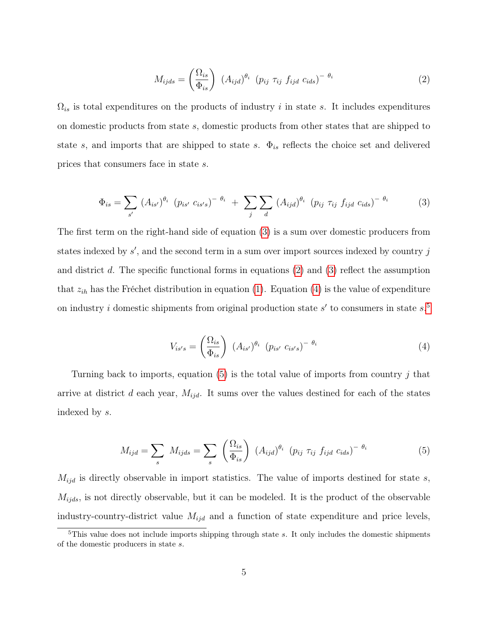<span id="page-6-0"></span>
$$
M_{ijds} = \left(\frac{\Omega_{is}}{\Phi_{is}}\right) \left(A_{ijd}\right)^{\theta_i} \left(p_{ij} \tau_{ij} f_{ijd} c_{ids}\right)^{-\theta_i}
$$
 (2)

 $\Omega_{is}$  is total expenditures on the products of industry i in state s. It includes expenditures on domestic products from state s, domestic products from other states that are shipped to state s, and imports that are shipped to state s.  $\Phi_{is}$  reflects the choice set and delivered prices that consumers face in state s.

<span id="page-6-1"></span>
$$
\Phi_{is} = \sum_{s'} (A_{is'})^{\theta_i} (p_{is'} c_{is's})^{-\theta_i} + \sum_{j} \sum_{d} (A_{ijd})^{\theta_i} (p_{ij} \tau_{ij} f_{ijd} c_{ids})^{-\theta_i}
$$
(3)

The first term on the right-hand side of equation [\(3\)](#page-6-1) is a sum over domestic producers from states indexed by  $s'$ , and the second term in a sum over import sources indexed by country  $j$ and district d. The specific functional forms in equations  $(2)$  and  $(3)$  reflect the assumption that  $z_{ih}$  has the Fréchet distribution in equation [\(1\)](#page-5-1). Equation [\(4\)](#page-6-2) is the value of expenditure on industry *i* domestic shipments from original production state  $s'$  to consumers in state  $s$ <sup>[5](#page-6-3)</sup>

<span id="page-6-2"></span>
$$
V_{is's} = \left(\frac{\Omega_{is}}{\Phi_{is}}\right) (A_{is'})^{\theta_i} (p_{is'} c_{is's})^{-\theta_i}
$$
\n
$$
(4)
$$

Turning back to imports, equation [\(5\)](#page-6-4) is the total value of imports from country j that arrive at district d each year,  $M_{ijd}$ . It sums over the values destined for each of the states indexed by s.

<span id="page-6-4"></span>
$$
M_{ijd} = \sum_{s} M_{ijds} = \sum_{s} \left(\frac{\Omega_{is}}{\Phi_{is}}\right) \left(A_{ijd}\right)^{\theta_i} \left(p_{ij} \tau_{ij} f_{ijd} c_{ids}\right)^{-\theta_i}
$$
(5)

 $M_{ijd}$  is directly observable in import statistics. The value of imports destined for state s,  $M_{ijds}$ , is not directly observable, but it can be modeled. It is the product of the observable industry-country-district value  $M_{ijd}$  and a function of state expenditure and price levels,

<span id="page-6-3"></span> $5$ This value does not include imports shipping through state s. It only includes the domestic shipments of the domestic producers in state s.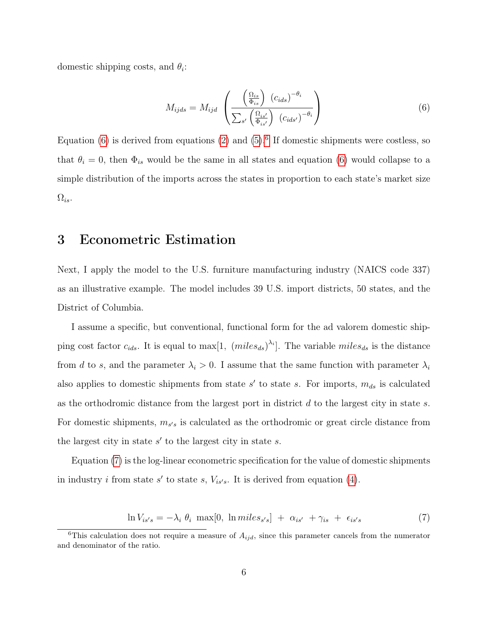domestic shipping costs, and  $\theta_i$ :

<span id="page-7-1"></span>
$$
M_{ijds} = M_{ijd} \left( \frac{\left(\frac{\Omega_{is}}{\Phi_{is}}\right) (c_{ids})^{-\theta_i}}{\sum_{s'} \left(\frac{\Omega_{is'}}{\Phi_{is'}}\right) (c_{ids'})^{-\theta_i}} \right)
$$
(6)

Equation  $(6)$  is derived from equations  $(2)$  and  $(5)$ .<sup>[6](#page-7-2)</sup> If domestic shipments were costless, so that  $\theta_i = 0$ , then  $\Phi_{is}$  would be the same in all states and equation [\(6\)](#page-7-1) would collapse to a simple distribution of the imports across the states in proportion to each state's market size  $\Omega_{is}$ .

# <span id="page-7-0"></span>3 Econometric Estimation

Next, I apply the model to the U.S. furniture manufacturing industry (NAICS code 337) as an illustrative example. The model includes 39 U.S. import districts, 50 states, and the District of Columbia.

I assume a specific, but conventional, functional form for the ad valorem domestic shipping cost factor  $c_{ids}$ . It is equal to max[1,  $(miles_{ds})^{\lambda_i}$ ]. The variable  $miles_{ds}$  is the distance from d to s, and the parameter  $\lambda_i > 0$ . I assume that the same function with parameter  $\lambda_i$ also applies to domestic shipments from state  $s'$  to state s. For imports,  $m_{ds}$  is calculated as the orthodromic distance from the largest port in district  $d$  to the largest city in state  $s$ . For domestic shipments,  $m_{s's}$  is calculated as the orthodromic or great circle distance from the largest city in state  $s'$  to the largest city in state  $s$ .

Equation [\(7\)](#page-7-3) is the log-linear econometric specification for the value of domestic shipments in industry *i* from state s' to state s,  $V_{is's}$ . It is derived from equation [\(4\)](#page-6-2).

<span id="page-7-3"></span>
$$
\ln V_{is's} = -\lambda_i \; \theta_i \; \max[0, \; \ln miles_{s's}] \; + \; \alpha_{is'} \; + \gamma_{is} \; + \; \epsilon_{is's} \tag{7}
$$

<span id="page-7-2"></span><sup>&</sup>lt;sup>6</sup>This calculation does not require a measure of  $A_{ijd}$ , since this parameter cancels from the numerator and denominator of the ratio.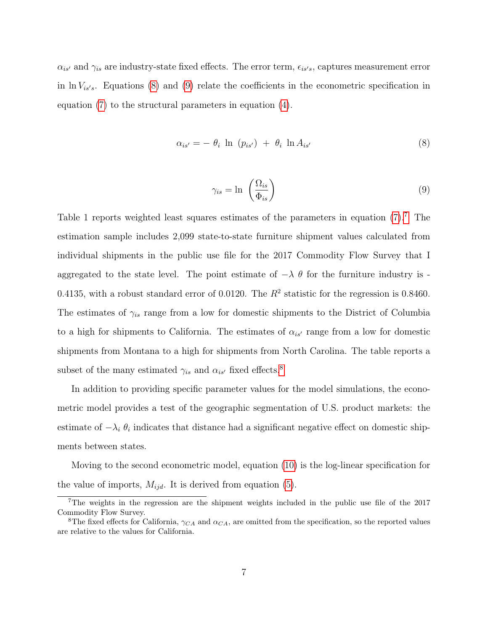$\alpha_{is'}$  and  $\gamma_{is}$  are industry-state fixed effects. The error term,  $\epsilon_{is's}$ , captures measurement error in  $\ln V_{is's}$ . Equations [\(8\)](#page-8-0) and [\(9\)](#page-8-1) relate the coefficients in the econometric specification in equation [\(7\)](#page-7-3) to the structural parameters in equation [\(4\)](#page-6-2).

<span id="page-8-0"></span>
$$
\alpha_{is'} = -\theta_i \ln (p_{is'}) + \theta_i \ln A_{is'}
$$
\n(8)

<span id="page-8-1"></span>
$$
\gamma_{is} = \ln \left( \frac{\Omega_{is}}{\Phi_{is}} \right) \tag{9}
$$

Table 1 reports weighted least squares estimates of the parameters in equation  $(7)$ . The estimation sample includes 2,099 state-to-state furniture shipment values calculated from individual shipments in the public use file for the 2017 Commodity Flow Survey that I aggregated to the state level. The point estimate of  $-\lambda \theta$  for the furniture industry is -0.4135, with a robust standard error of 0.0120. The  $R^2$  statistic for the regression is 0.8460. The estimates of  $\gamma_{is}$  range from a low for domestic shipments to the District of Columbia to a high for shipments to California. The estimates of  $\alpha_{is'}$  range from a low for domestic shipments from Montana to a high for shipments from North Carolina. The table reports a subset of the many estimated  $\gamma_{is}$  and  $\alpha_{is'}$  fixed effects.<sup>[8](#page-8-3)</sup>

In addition to providing specific parameter values for the model simulations, the econometric model provides a test of the geographic segmentation of U.S. product markets: the estimate of  $-\lambda_i \theta_i$  indicates that distance had a significant negative effect on domestic shipments between states.

Moving to the second econometric model, equation [\(10\)](#page-9-0) is the log-linear specification for the value of imports,  $M_{ijd}$ . It is derived from equation [\(5\)](#page-6-4).

<span id="page-8-2"></span><sup>&</sup>lt;sup>7</sup>The weights in the regression are the shipment weights included in the public use file of the 2017 Commodity Flow Survey.

<span id="page-8-3"></span><sup>&</sup>lt;sup>8</sup>The fixed effects for California,  $\gamma_{CA}$  and  $\alpha_{CA}$ , are omitted from the specification, so the reported values are relative to the values for California.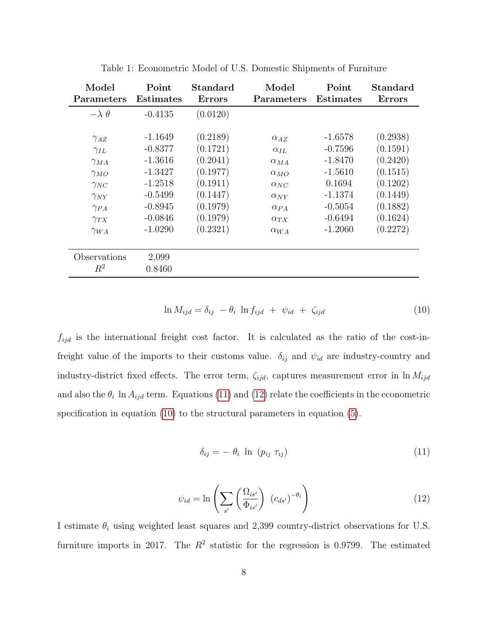| Model                 | Point            | Standard      | Model         | Point            | <b>Standard</b> |
|-----------------------|------------------|---------------|---------------|------------------|-----------------|
| Parameters            | <b>Estimates</b> | <b>Errors</b> | Parameters    | <b>Estimates</b> | <b>Errors</b>   |
| $-\lambda \theta$     | $-0.4135$        | (0.0120)      |               |                  |                 |
| $\gamma_{AZ}$         | $-1.1649$        | (0.2189)      | $\alpha_{AZ}$ | $-1.6578$        | (0.2938)        |
| $\gamma_{IL}$         | $-0.8377$        | (0.1721)      | $\alpha_{IL}$ | $-0.7596$        | (0.1591)        |
| $\gamma_{MA}$         | $-1.3616$        | (0.2041)      | $\alpha_{MA}$ | $-1.8470$        | (0.2420)        |
| $\gamma_{MO}$         | $-1.3427$        | (0.1977)      | $\alpha_{MO}$ | $-1.5610$        | (0.1515)        |
| $\gamma_{NC}$         | $-1.2518$        | (0.1911)      | $\alpha_{NC}$ | 0.1694           | (0.1202)        |
| $\gamma_{NY}$         | $-0.5499$        | (0.1447)      | $\alpha_{NY}$ | $-1.1374$        | (0.1449)        |
| $\gamma_{PA}$         | $-0.8945$        | (0.1979)      | $\alpha_{PA}$ | $-0.5054$        | (0.1882)        |
| $\gamma_{TX}$         | $-0.0846$        | (0.1979)      | $\alpha_{TX}$ | $-0.6494$        | (0.1624)        |
| $\gamma_{WA}$         | $-1.0290$        | (0.2321)      | $\alpha_{WA}$ | $-1.2060$        | (0.2272)        |
| Observations<br>$R^2$ | 2,099<br>0.8460  |               |               |                  |                 |

Table 1: Econometric Model of U.S. Domestic Shipments of Furniture

<span id="page-9-0"></span>
$$
\ln M_{ijd} = \delta_{ij} - \theta_i \ln f_{ijd} + \psi_{id} + \zeta_{ijd} \tag{10}
$$

 $f_{ijd}$  is the international freight cost factor. It is calculated as the ratio of the cost-infreight value of the imports to their customs value.  $\delta_{ij}$  and  $\psi_{id}$  are industry-country and industry-district fixed effects. The error term,  $\zeta_{ijd}$ , captures measurement error in ln  $M_{ijd}$ and also the  $\theta_i$  ln  $A_{ijd}$  term. Equations [\(11\)](#page-9-1) and [\(12\)](#page-9-2) relate the coefficients in the econometric specification in equation [\(10\)](#page-9-0) to the structural parameters in equation [\(5\)](#page-6-4).

<span id="page-9-1"></span>
$$
\delta_{ij} = -\theta_i \ln (p_{ij} \tau_{ij}) \tag{11}
$$

<span id="page-9-2"></span>
$$
\psi_{id} = \ln \left( \sum_{s'} \left( \frac{\Omega_{is'}}{\Phi_{is'}} \right) \left( c_{ds'} \right)^{-\theta_i} \right) \tag{12}
$$

I estimate  $\theta_i$  using weighted least squares and 2,399 country-district observations for U.S. furniture imports in 2017. The  $R^2$  statistic for the regression is 0.9799. The estimated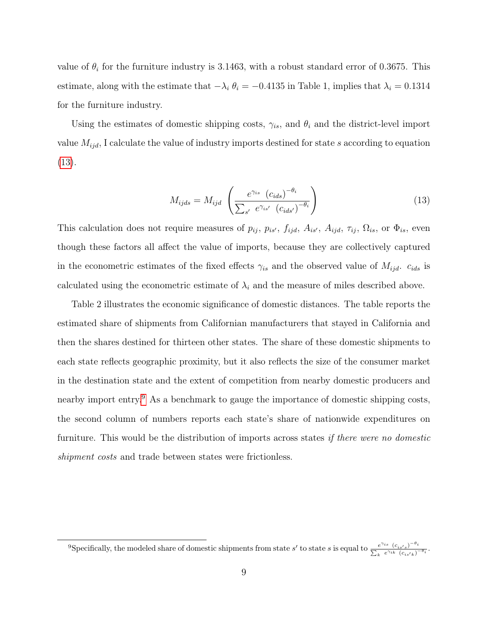value of  $\theta_i$  for the furniture industry is 3.1463, with a robust standard error of 0.3675. This estimate, along with the estimate that  $-\lambda_i \theta_i = -0.4135$  in Table 1, implies that  $\lambda_i = 0.1314$ for the furniture industry.

Using the estimates of domestic shipping costs,  $\gamma_{is}$ , and  $\theta_i$  and the district-level import value  $M_{ijd}$ , I calculate the value of industry imports destined for state s according to equation [\(13\)](#page-10-0).

<span id="page-10-0"></span>
$$
M_{ijds} = M_{ijd} \left( \frac{e^{\gamma_{is}} \left( c_{ids} \right)^{-\theta_i}}{\sum_{s'} e^{\gamma_{is'}} \left( c_{ids'} \right)^{-\theta_i}} \right)
$$
(13)

This calculation does not require measures of  $p_{ij}$ ,  $p_{is'}$ ,  $f_{ijd}$ ,  $A_{is'}$ ,  $A_{ijd}$ ,  $\tau_{ij}$ ,  $\Omega_{is}$ , or  $\Phi_{is}$ , even though these factors all affect the value of imports, because they are collectively captured in the econometric estimates of the fixed effects  $\gamma_{is}$  and the observed value of  $M_{ijd}$ .  $c_{ids}$  is calculated using the econometric estimate of  $\lambda_i$  and the measure of miles described above.

Table 2 illustrates the economic significance of domestic distances. The table reports the estimated share of shipments from Californian manufacturers that stayed in California and then the shares destined for thirteen other states. The share of these domestic shipments to each state reflects geographic proximity, but it also reflects the size of the consumer market in the destination state and the extent of competition from nearby domestic producers and nearby import entry.<sup>[9](#page-10-1)</sup> As a benchmark to gauge the importance of domestic shipping costs, the second column of numbers reports each state's share of nationwide expenditures on furniture. This would be the distribution of imports across states *if there were no domestic* shipment costs and trade between states were frictionless.

<span id="page-10-1"></span><sup>&</sup>lt;sup>9</sup>Specifically, the modeled share of domestic shipments from state s' to state s is equal to  $\frac{e^{\gamma_{is}}(c_{is's})^{-\theta_{is}}}{\sum_{s\gamma_{is}}(c_{is})^{-\theta_{is}}(c_{is})^{-\theta_{is}}}$  $\frac{e^{\gamma_{is}}(c_{is's})}{\sum_k e^{\gamma_{ik}}(c_{is'k})^{-\theta_i}}.$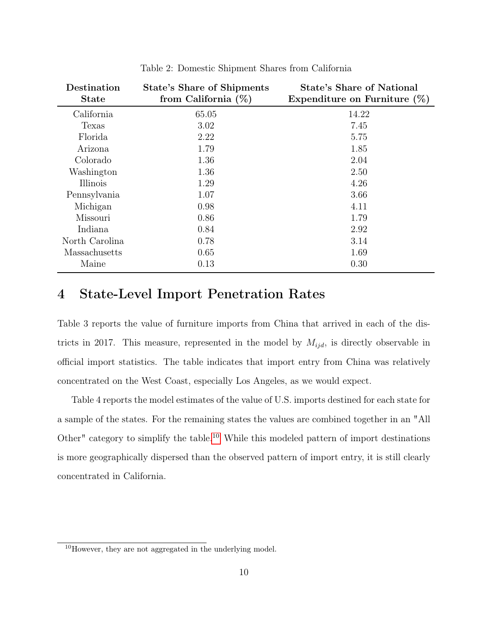| Destination<br>State | <b>State's Share of Shipments</b><br>from California $(\%)$ | <b>State's Share of National</b><br>Expenditure on Furniture $(\%)$ |
|----------------------|-------------------------------------------------------------|---------------------------------------------------------------------|
| California           | 65.05                                                       | 14.22                                                               |
| Texas                | 3.02                                                        | 7.45                                                                |
| Florida              | 2.22                                                        | 5.75                                                                |
| Arizona              | 1.79                                                        | 1.85                                                                |
| Colorado             | 1.36                                                        | 2.04                                                                |
| Washington           | 1.36                                                        | 2.50                                                                |
| Illinois             | 1.29                                                        | 4.26                                                                |
| Pennsylvania         | 1.07                                                        | 3.66                                                                |
| Michigan             | 0.98                                                        | 4.11                                                                |
| Missouri             | 0.86                                                        | 1.79                                                                |
| Indiana              | 0.84                                                        | 2.92                                                                |
| North Carolina       | 0.78                                                        | 3.14                                                                |
| Massachusetts        | 0.65                                                        | 1.69                                                                |
| Maine                | 0.13                                                        | 0.30                                                                |

Table 2: Domestic Shipment Shares from California

## <span id="page-11-0"></span>4 State-Level Import Penetration Rates

Table 3 reports the value of furniture imports from China that arrived in each of the districts in 2017. This measure, represented in the model by  $M_{ijd}$ , is directly observable in official import statistics. The table indicates that import entry from China was relatively concentrated on the West Coast, especially Los Angeles, as we would expect.

Table 4 reports the model estimates of the value of U.S. imports destined for each state for a sample of the states. For the remaining states the values are combined together in an "All Other" category to simplify the table.[10](#page-11-1) While this modeled pattern of import destinations is more geographically dispersed than the observed pattern of import entry, it is still clearly concentrated in California.

<span id="page-11-1"></span><sup>10</sup>However, they are not aggregated in the underlying model.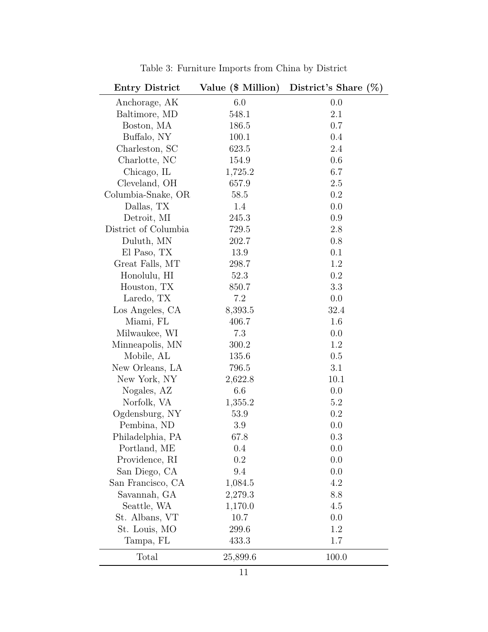| <b>Entry District</b> | Value (\$ Million) | District's Share $(\%)$ |  |
|-----------------------|--------------------|-------------------------|--|
| Anchorage, AK         | 6.0                | 0.0                     |  |
| Baltimore, MD         | 548.1              | 2.1                     |  |
| Boston, MA            | 186.5              | 0.7                     |  |
| Buffalo, NY           | 100.1              | 0.4                     |  |
| Charleston, SC        | 623.5              | 2.4                     |  |
| Charlotte, NC         | 154.9              | 0.6                     |  |
| Chicago, IL           | 1,725.2            | 6.7                     |  |
| Cleveland, OH         | 657.9              | 2.5                     |  |
| Columbia-Snake, OR    | 58.5               | 0.2                     |  |
| Dallas, TX            | 1.4                | 0.0                     |  |
| Detroit, MI           | 245.3              | 0.9                     |  |
| District of Columbia  | 729.5              | 2.8                     |  |
| Duluth, MN            | 202.7              | 0.8                     |  |
| El Paso, TX           | 13.9               | 0.1                     |  |
| Great Falls, MT       | 298.7              | 1.2                     |  |
| Honolulu, HI          | 52.3               | 0.2                     |  |
| Houston, TX           | 850.7              | 3.3                     |  |
| Laredo, TX            | 7.2                | 0.0                     |  |
| Los Angeles, CA       | 8,393.5            | 32.4                    |  |
| Miami, FL             | 406.7              | 1.6                     |  |
| Milwaukee, WI         | 7.3                | 0.0                     |  |
| Minneapolis, MN       | 300.2              | 1.2                     |  |
| Mobile, AL            | 135.6              | 0.5                     |  |
| New Orleans, LA       | 796.5              | 3.1                     |  |
| New York, NY          | 2,622.8            | 10.1                    |  |
| Nogales, AZ           | 6.6                | 0.0                     |  |
| Norfolk, VA           | 1,355.2            | 5.2                     |  |
| Ogdensburg, NY        | 53.9               | 0.2                     |  |
| Pembina, ND           | 3.9                | 0.0                     |  |
| Philadelphia, PA      | 67.8               | 0.3                     |  |
| Portland, ME          | 0.4                | 0.0                     |  |
| Providence, RI        | 0.2                | 0.0                     |  |
| San Diego, CA         | 9.4                | 0.0                     |  |
| San Francisco, CA     | 1,084.5            | 4.2                     |  |
| Savannah, GA          | 2,279.3            | 8.8                     |  |
| Seattle, WA           | 1,170.0            | 4.5                     |  |
| St. Albans, VT        | 10.7               | 0.0                     |  |
| St. Louis, MO         | 299.6              | 1.2                     |  |
| Tampa, FL             | 433.3              | 1.7                     |  |
| Total                 | 25,899.6           | 100.0                   |  |

Table 3: Furniture Imports from China by District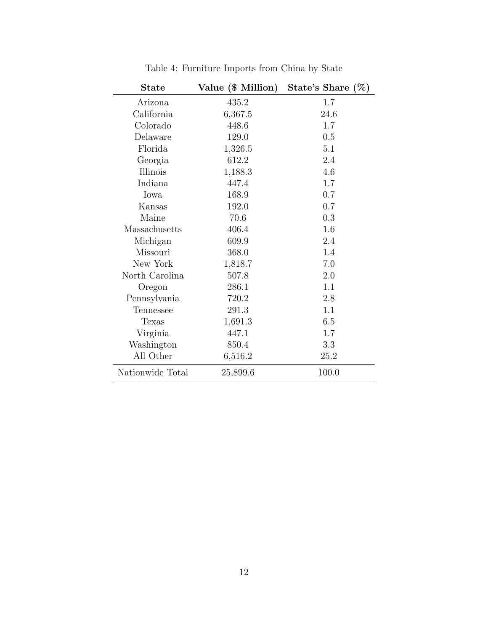| <b>State</b>     | Value (\$ Million) | State's Share $(\%)$ |
|------------------|--------------------|----------------------|
| Arizona          | 435.2              | 1.7                  |
| California       | 6,367.5            | 24.6                 |
| Colorado         | 448.6              | 1.7                  |
| Delaware         | 129.0              | 0.5                  |
| Florida          | 1,326.5            | 5.1                  |
| Georgia          | 612.2              | 2.4                  |
| Illinois         | 1,188.3            | 4.6                  |
| Indiana          | 447.4              | 1.7                  |
| Iowa             | 168.9              | 0.7                  |
| Kansas           | 192.0              | 0.7                  |
| Maine            | 70.6               | 0.3                  |
| Massachusetts    | 406.4              | 1.6                  |
| Michigan         | 609.9              | 2.4                  |
| Missouri         | 368.0              | 1.4                  |
| New York         | 1,818.7            | 7.0                  |
| North Carolina   | 507.8              | 2.0                  |
| Oregon           | 286.1              | 1.1                  |
| Pennsylvania     | 720.2              | 2.8                  |
| Tennessee        | 291.3              | 1.1                  |
| Texas            | 1,691.3            | 6.5                  |
| Virginia         | 447.1              | 1.7                  |
| Washington       | 850.4              | 3.3                  |
| All Other        | 6,516.2            | 25.2                 |
| Nationwide Total | 25,899.6           | 100.0                |

Table 4: Furniture Imports from China by State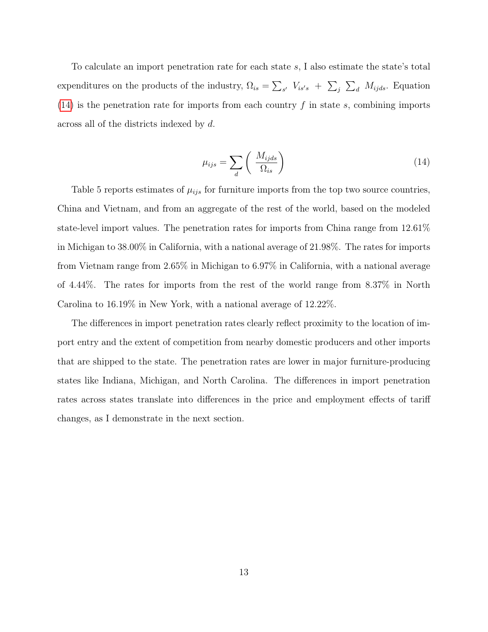To calculate an import penetration rate for each state s, I also estimate the state's total expenditures on the products of the industry,  $\Omega_{is} = \sum_{s'} V_{is's} + \sum_{j} \sum_{d} M_{ijds}$ . Equation [\(14\)](#page-14-0) is the penetration rate for imports from each country  $f$  in state  $s$ , combining imports across all of the districts indexed by d.

<span id="page-14-0"></span>
$$
\mu_{ijs} = \sum_{d} \left( \frac{M_{ijds}}{\Omega_{is}} \right) \tag{14}
$$

Table 5 reports estimates of  $\mu_{ijs}$  for furniture imports from the top two source countries, China and Vietnam, and from an aggregate of the rest of the world, based on the modeled state-level import values. The penetration rates for imports from China range from 12.61% in Michigan to 38.00% in California, with a national average of 21.98%. The rates for imports from Vietnam range from 2.65% in Michigan to 6.97% in California, with a national average of 4.44%. The rates for imports from the rest of the world range from 8.37% in North Carolina to 16.19% in New York, with a national average of 12.22%.

The differences in import penetration rates clearly reflect proximity to the location of import entry and the extent of competition from nearby domestic producers and other imports that are shipped to the state. The penetration rates are lower in major furniture-producing states like Indiana, Michigan, and North Carolina. The differences in import penetration rates across states translate into differences in the price and employment effects of tariff changes, as I demonstrate in the next section.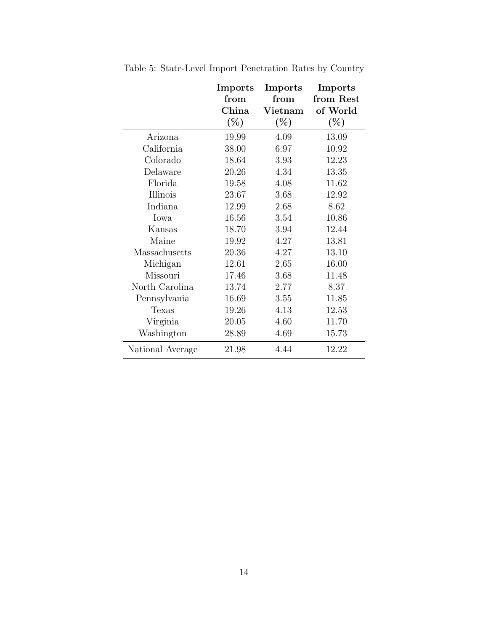|                  | Imports | Imports       | Imports   |
|------------------|---------|---------------|-----------|
|                  | from    | from          | from Rest |
|                  | China   | $\rm Vietnam$ | of World  |
|                  | $(\%)$  | $(\%)$        | $(\%)$    |
| Arizona          | 19.99   | 4.09          | 13.09     |
| California       | 38.00   | 6.97          | 10.92     |
| Colorado         | 18.64   | 3.93          | 12.23     |
| Delaware         | 20.26   | 4.34          | 13.35     |
| Florida          | 19.58   | 4.08          | 11.62     |
| Illinois         | 23.67   | 3.68          | 12.92     |
| Indiana          | 12.99   | 2.68          | 8.62      |
| Iowa             | 16.56   | 3.54          | 10.86     |
| Kansas           | 18.70   | 3.94          | 12.44     |
| Maine            | 19.92   | 4.27          | 13.81     |
| Massachusetts    | 20.36   | 4.27          | 13.10     |
| Michigan         | 12.61   | 2.65          | 16.00     |
| Missouri         | 17.46   | 3.68          | 11.48     |
| North Carolina   | 13.74   | 2.77          | 8.37      |
| Pennsylvania     | 16.69   | 3.55          | 11.85     |
| Texas            | 19.26   | 4.13          | 12.53     |
| Virginia         | 20.05   | 4.60          | 11.70     |
| Washington       | 28.89   | 4.69          | 15.73     |
| National Average | 21.98   | 4.44          | 12.22     |

Table 5: State-Level Import Penetration Rates by Country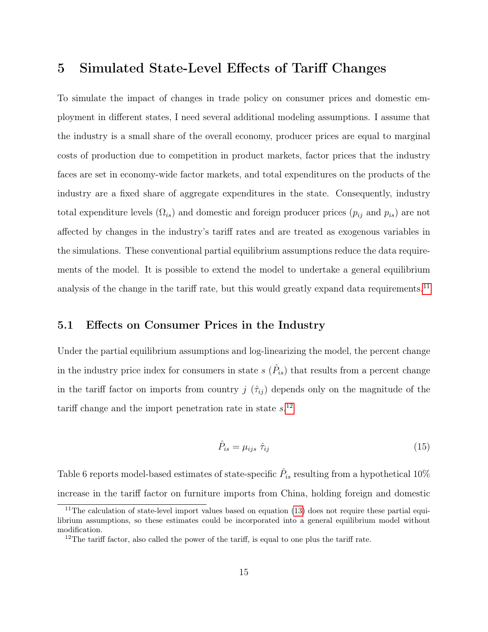## <span id="page-16-0"></span>5 Simulated State-Level Effects of Tariff Changes

To simulate the impact of changes in trade policy on consumer prices and domestic employment in different states, I need several additional modeling assumptions. I assume that the industry is a small share of the overall economy, producer prices are equal to marginal costs of production due to competition in product markets, factor prices that the industry faces are set in economy-wide factor markets, and total expenditures on the products of the industry are a fixed share of aggregate expenditures in the state. Consequently, industry total expenditure levels  $(\Omega_{is})$  and domestic and foreign producer prices  $(p_{ij}$  and  $p_{is})$  are not affected by changes in the industry's tariff rates and are treated as exogenous variables in the simulations. These conventional partial equilibrium assumptions reduce the data requirements of the model. It is possible to extend the model to undertake a general equilibrium analysis of the change in the tariff rate, but this would greatly expand data requirements.<sup>[11](#page-16-1)</sup>

#### 5.1 Effects on Consumer Prices in the Industry

Under the partial equilibrium assumptions and log-linearizing the model, the percent change in the industry price index for consumers in state  $s(\hat{P}_{is})$  that results from a percent change in the tariff factor on imports from country j  $(\hat{\tau}_{ij})$  depends only on the magnitude of the tariff change and the import penetration rate in state  $s$ <sup>[12](#page-16-2)</sup>

$$
\hat{P}_{is} = \mu_{ijs} \hat{\tau}_{ij} \tag{15}
$$

Table 6 reports model-based estimates of state-specific  $\hat{P}_{is}$  resulting from a hypothetical  $10\%$ increase in the tariff factor on furniture imports from China, holding foreign and domestic

<span id="page-16-1"></span><sup>&</sup>lt;sup>11</sup>The calculation of state-level import values based on equation  $(13)$  does not require these partial equilibrium assumptions, so these estimates could be incorporated into a general equilibrium model without modification.

<span id="page-16-2"></span> $12$ The tariff factor, also called the power of the tariff, is equal to one plus the tariff rate.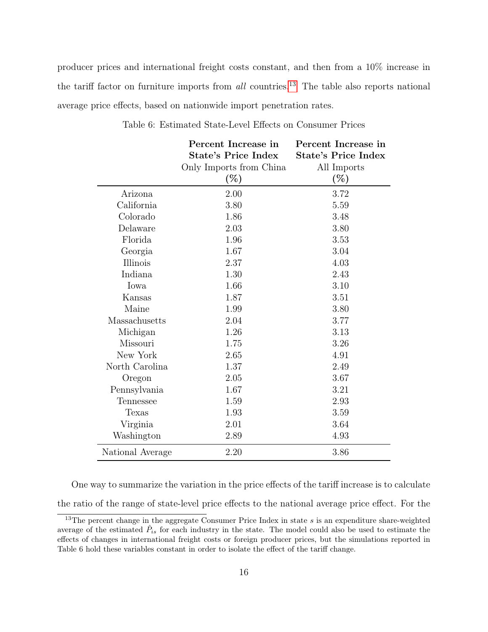producer prices and international freight costs constant, and then from a 10% increase in the tariff factor on furniture imports from  $all$  countries.<sup>[13](#page-17-0)</sup> The table also reports national average price effects, based on nationwide import penetration rates.

|                  | Percent Increase in        | Percent Increase in        |
|------------------|----------------------------|----------------------------|
|                  | <b>State's Price Index</b> | <b>State's Price Index</b> |
|                  | Only Imports from China    | All Imports                |
|                  | $(\%)$                     | $(\%)$                     |
| Arizona          | 2.00                       | 3.72                       |
| California       | 3.80                       | 5.59                       |
| Colorado         | 1.86                       | 3.48                       |
| Delaware         | 2.03                       | 3.80                       |
| Florida          | 1.96                       | 3.53                       |
| Georgia          | 1.67                       | 3.04                       |
| Illinois         | 2.37                       | 4.03                       |
| Indiana          | 1.30                       | 2.43                       |
| Iowa             | 1.66                       | 3.10                       |
| Kansas           | 1.87                       | 3.51                       |
| Maine            | 1.99                       | 3.80                       |
| Massachusetts    | 2.04                       | 3.77                       |
| Michigan         | 1.26                       | 3.13                       |
| Missouri         | 1.75                       | 3.26                       |
| New York         | 2.65                       | 4.91                       |
| North Carolina   | 1.37                       | 2.49                       |
| Oregon           | 2.05                       | 3.67                       |
| Pennsylvania     | 1.67                       | 3.21                       |
| Tennessee        | 1.59                       | 2.93                       |
| Texas            | 1.93                       | 3.59                       |
| Virginia         | 2.01                       | 3.64                       |
| Washington       | 2.89                       | 4.93                       |
| National Average | 2.20                       | 3.86                       |

Table 6: Estimated State-Level Effects on Consumer Prices

One way to summarize the variation in the price effects of the tariff increase is to calculate the ratio of the range of state-level price effects to the national average price effect. For the

<span id="page-17-0"></span> $13$ The percent change in the aggregate Consumer Price Index in state s is an expenditure share-weighted average of the estimated  $\hat{P}_{is}$  for each industry in the state. The model could also be used to estimate the effects of changes in international freight costs or foreign producer prices, but the simulations reported in Table 6 hold these variables constant in order to isolate the effect of the tariff change.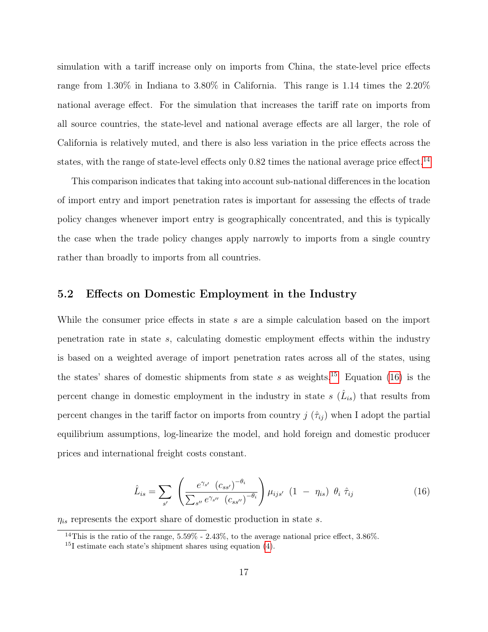simulation with a tariff increase only on imports from China, the state-level price effects range from 1.30% in Indiana to 3.80% in California. This range is 1.14 times the 2.20% national average effect. For the simulation that increases the tariff rate on imports from all source countries, the state-level and national average effects are all larger, the role of California is relatively muted, and there is also less variation in the price effects across the states, with the range of state-level effects only  $0.82$  times the national average price effect.<sup>[14](#page-18-0)</sup>

This comparison indicates that taking into account sub-national differences in the location of import entry and import penetration rates is important for assessing the effects of trade policy changes whenever import entry is geographically concentrated, and this is typically the case when the trade policy changes apply narrowly to imports from a single country rather than broadly to imports from all countries.

#### 5.2 Effects on Domestic Employment in the Industry

While the consumer price effects in state s are a simple calculation based on the import penetration rate in state s, calculating domestic employment effects within the industry is based on a weighted average of import penetration rates across all of the states, using the states' shares of domestic shipments from state s as weights.<sup>[15](#page-18-1)</sup> Equation [\(16\)](#page-18-2) is the percent change in domestic employment in the industry in state  $s(\hat{L}_{is})$  that results from percent changes in the tariff factor on imports from country  $j(\hat{\tau}_{ij})$  when I adopt the partial equilibrium assumptions, log-linearize the model, and hold foreign and domestic producer prices and international freight costs constant.

<span id="page-18-2"></span>
$$
\hat{L}_{is} = \sum_{s'} \left( \frac{e^{\gamma_{s'}} \left( c_{ss'} \right)^{-\theta_i}}{\sum_{s''} e^{\gamma_{s''}} \left( c_{ss''} \right)^{-\theta_i}} \right) \mu_{ijs'} \left( 1 - \eta_{is} \right) \theta_i \hat{\tau}_{ij}
$$
\n(16)

 $\eta_{is}$  represents the export share of domestic production in state s.

<span id="page-18-0"></span><sup>&</sup>lt;sup>14</sup>This is the ratio of the range,  $5.59\%$  -  $2.43\%$ , to the average national price effect,  $3.86\%$ .

<span id="page-18-1"></span><sup>&</sup>lt;sup>15</sup>I estimate each state's shipment shares using equation  $(4)$ .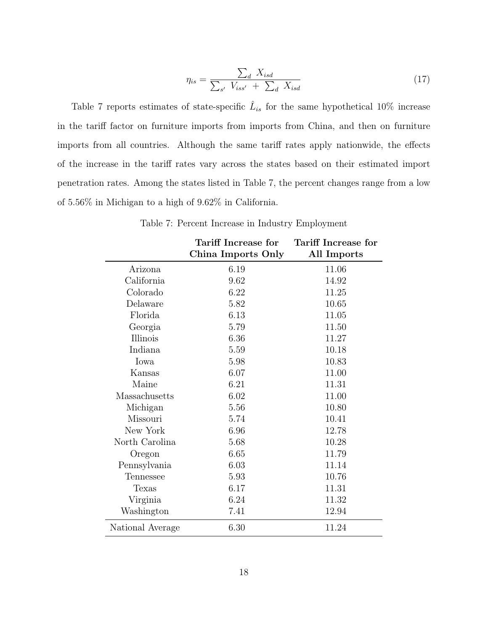$$
\eta_{is} = \frac{\sum_{d} X_{isd}}{\sum_{s'} V_{iss'} + \sum_{d} X_{isd}} \tag{17}
$$

Table 7 reports estimates of state-specific  $\hat{L}_{is}$  for the same hypothetical 10% increase in the tariff factor on furniture imports from imports from China, and then on furniture imports from all countries. Although the same tariff rates apply nationwide, the effects of the increase in the tariff rates vary across the states based on their estimated import penetration rates. Among the states listed in Table 7, the percent changes range from a low of 5.56% in Michigan to a high of 9.62% in California.

Table 7: Percent Increase in Industry Employment

|                  | Tariff Increase for | Tariff Increase for |
|------------------|---------------------|---------------------|
|                  | China Imports Only  | All Imports         |
| Arizona          | 6.19                | 11.06               |
| California       | 9.62                | 14.92               |
| Colorado         | 6.22                | 11.25               |
| Delaware         | 5.82                | 10.65               |
| Florida          | 6.13                | 11.05               |
| Georgia          | 5.79                | 11.50               |
| Illinois         | 6.36                | 11.27               |
| Indiana          | 5.59                | 10.18               |
| Iowa             | 5.98                | 10.83               |
| Kansas           | 6.07                | 11.00               |
| Maine            | 6.21                | 11.31               |
| Massachusetts    | 6.02                | 11.00               |
| Michigan         | 5.56                | 10.80               |
| Missouri         | 5.74                | 10.41               |
| New York         | 6.96                | 12.78               |
| North Carolina   | 5.68                | 10.28               |
| Oregon           | 6.65                | 11.79               |
| Pennsylvania     | 6.03                | 11.14               |
| Tennessee        | 5.93                | 10.76               |
| <b>Texas</b>     | 6.17                | 11.31               |
| Virginia         | 6.24                | 11.32               |
| Washington       | 7.41                | 12.94               |
| National Average | 6.30                | 11.24               |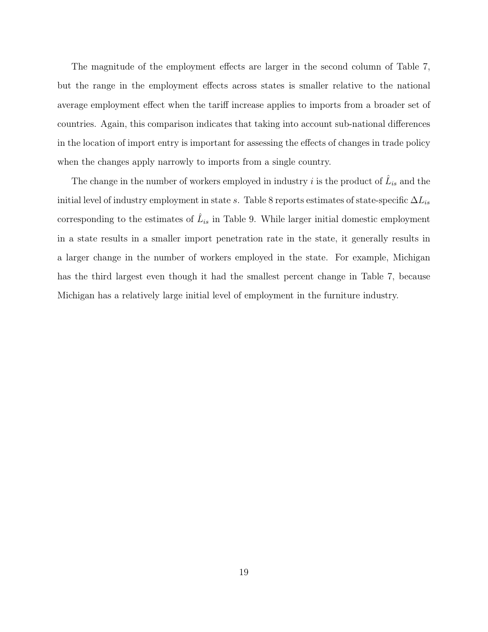The magnitude of the employment effects are larger in the second column of Table 7, but the range in the employment effects across states is smaller relative to the national average employment effect when the tariff increase applies to imports from a broader set of countries. Again, this comparison indicates that taking into account sub-national differences in the location of import entry is important for assessing the effects of changes in trade policy when the changes apply narrowly to imports from a single country.

The change in the number of workers employed in industry i is the product of  $\hat{L}_{is}$  and the initial level of industry employment in state s. Table 8 reports estimates of state-specific  $\Delta L_{is}$ corresponding to the estimates of  $\hat{L}_{is}$  in Table 9. While larger initial domestic employment in a state results in a smaller import penetration rate in the state, it generally results in a larger change in the number of workers employed in the state. For example, Michigan has the third largest even though it had the smallest percent change in Table 7, because Michigan has a relatively large initial level of employment in the furniture industry.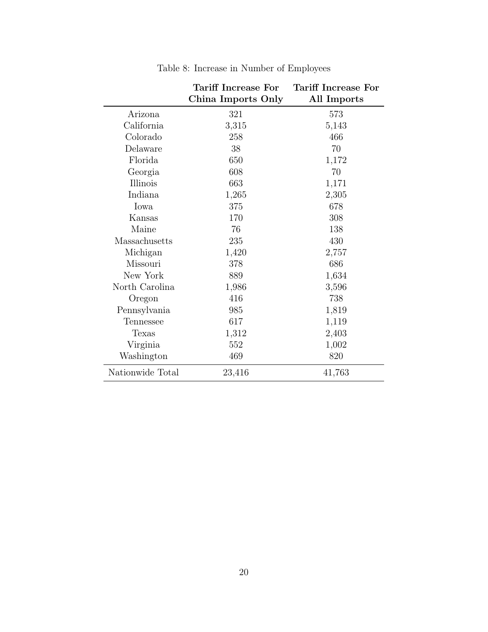|                  | <b>Tariff Increase For</b> | <b>Tariff Increase For</b> |
|------------------|----------------------------|----------------------------|
|                  | China Imports Only         | All Imports                |
| Arizona          | 321                        | 573                        |
| California       | 3,315                      | 5,143                      |
| Colorado         | 258                        | 466                        |
| Delaware         | 38                         | 70                         |
| Florida          | 650                        | 1,172                      |
| Georgia          | 608                        | 70                         |
| Illinois         | 663                        | 1,171                      |
| Indiana          | 1,265                      | 2,305                      |
| Iowa             | 375                        | 678                        |
| Kansas           | 170                        | 308                        |
| Maine            | 76                         | 138                        |
| Massachusetts    | 235                        | 430                        |
| Michigan         | 1,420                      | 2,757                      |
| Missouri         | 378                        | 686                        |
| New York         | 889                        | 1,634                      |
| North Carolina   | 1,986                      | 3,596                      |
| Oregon           | 416                        | 738                        |
| Pennsylvania     | 985                        | 1,819                      |
| Tennessee        | 617                        | 1,119                      |
| Texas            | 1,312                      | 2,403                      |
| Virginia         | 552                        | 1,002                      |
| Washington       | 469                        | 820                        |
| Nationwide Total | 23,416                     | 41,763                     |

Table 8: Increase in Number of Employees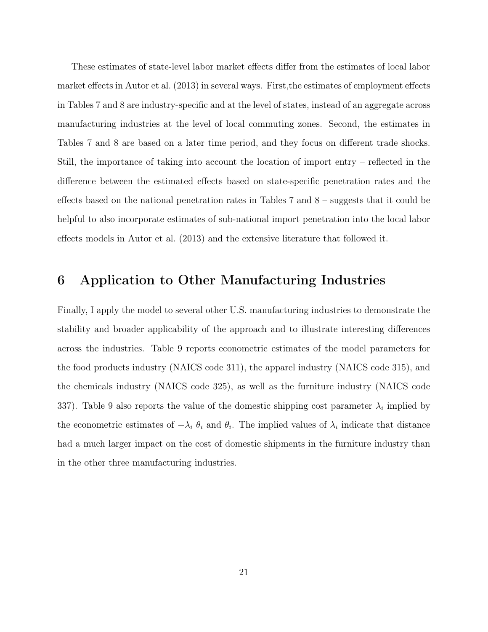These estimates of state-level labor market effects differ from the estimates of local labor market effects in Autor et al. (2013) in several ways. First,the estimates of employment effects in Tables 7 and 8 are industry-specific and at the level of states, instead of an aggregate across manufacturing industries at the level of local commuting zones. Second, the estimates in Tables 7 and 8 are based on a later time period, and they focus on different trade shocks. Still, the importance of taking into account the location of import entry – reflected in the difference between the estimated effects based on state-specific penetration rates and the effects based on the national penetration rates in Tables 7 and 8 – suggests that it could be helpful to also incorporate estimates of sub-national import penetration into the local labor effects models in Autor et al. (2013) and the extensive literature that followed it.

## <span id="page-22-0"></span>6 Application to Other Manufacturing Industries

Finally, I apply the model to several other U.S. manufacturing industries to demonstrate the stability and broader applicability of the approach and to illustrate interesting differences across the industries. Table 9 reports econometric estimates of the model parameters for the food products industry (NAICS code 311), the apparel industry (NAICS code 315), and the chemicals industry (NAICS code 325), as well as the furniture industry (NAICS code 337). Table 9 also reports the value of the domestic shipping cost parameter  $\lambda_i$  implied by the econometric estimates of  $-\lambda_i \theta_i$  and  $\theta_i$ . The implied values of  $\lambda_i$  indicate that distance had a much larger impact on the cost of domestic shipments in the furniture industry than in the other three manufacturing industries.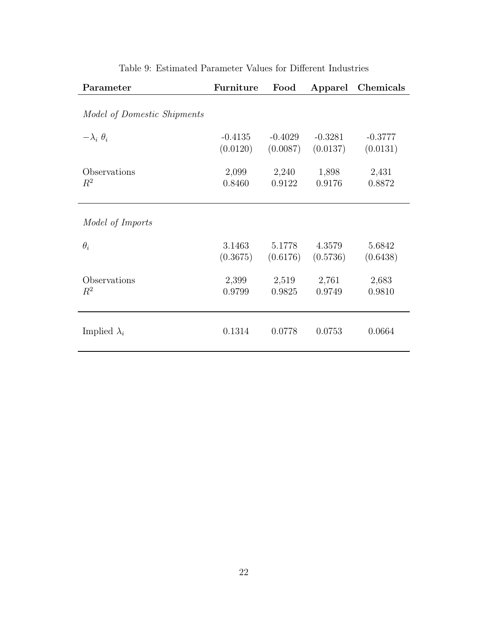| Parameter                   | Furniture | Food      | Apparel   | Chemicals |
|-----------------------------|-----------|-----------|-----------|-----------|
| Model of Domestic Shipments |           |           |           |           |
| $-\lambda_i$ $\theta_i$     | $-0.4135$ | $-0.4029$ | $-0.3281$ | $-0.3777$ |
|                             | (0.0120)  | (0.0087)  | (0.0137)  | (0.0131)  |
| Observations                | 2,099     | 2,240     | 1,898     | 2,431     |
| $R^2$                       | 0.8460    | 0.9122    | 0.9176    | 0.8872    |
| Model of Imports            |           |           |           |           |
| $\theta_i$                  | 3.1463    | 5.1778    | 4.3579    | 5.6842    |
|                             | (0.3675)  | (0.6176)  | (0.5736)  | (0.6438)  |
| Observations                | 2,399     | 2,519     | 2,761     | 2,683     |
| $R^2$                       | 0.9799    | 0.9825    | 0.9749    | 0.9810    |
| Implied $\lambda_i$         | 0.1314    | 0.0778    | 0.0753    | 0.0664    |

Table 9: Estimated Parameter Values for Different Industries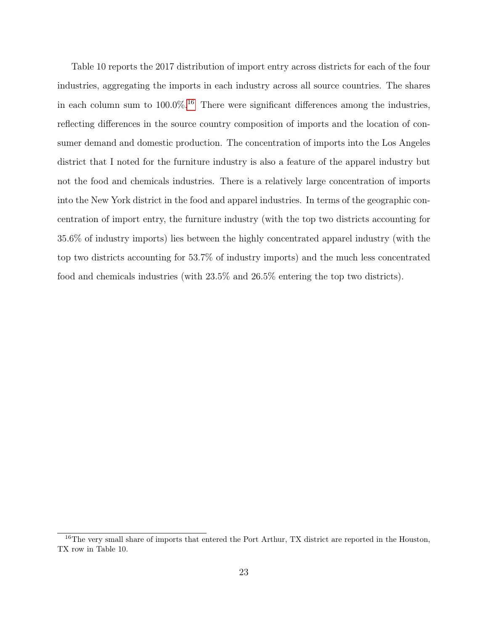Table 10 reports the 2017 distribution of import entry across districts for each of the four industries, aggregating the imports in each industry across all source countries. The shares in each column sum to  $100.0\%$ .<sup>[16](#page-24-0)</sup> There were significant differences among the industries, reflecting differences in the source country composition of imports and the location of consumer demand and domestic production. The concentration of imports into the Los Angeles district that I noted for the furniture industry is also a feature of the apparel industry but not the food and chemicals industries. There is a relatively large concentration of imports into the New York district in the food and apparel industries. In terms of the geographic concentration of import entry, the furniture industry (with the top two districts accounting for 35.6% of industry imports) lies between the highly concentrated apparel industry (with the top two districts accounting for 53.7% of industry imports) and the much less concentrated food and chemicals industries (with 23.5% and 26.5% entering the top two districts).

<span id="page-24-0"></span><sup>&</sup>lt;sup>16</sup>The very small share of imports that entered the Port Arthur, TX district are reported in the Houston, TX row in Table 10.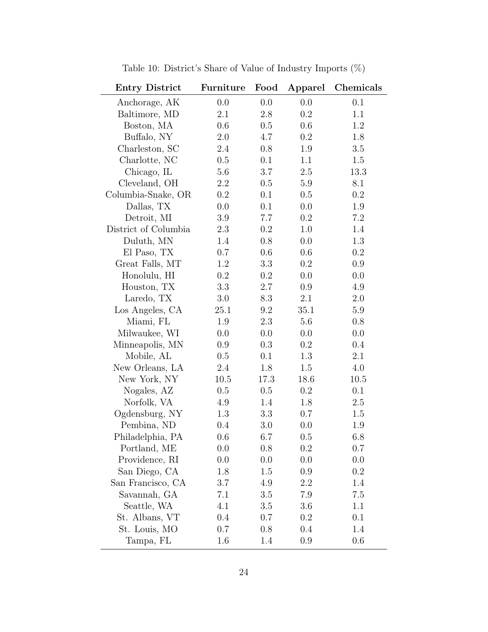| <b>Entry District</b> | Furniture | Food | Apparel | Chemicals |
|-----------------------|-----------|------|---------|-----------|
| Anchorage, AK         | 0.0       | 0.0  | 0.0     | 0.1       |
| Baltimore, MD         | 2.1       | 2.8  | 0.2     | 1.1       |
| Boston, MA            | 0.6       | 0.5  | 0.6     | 1.2       |
| Buffalo, NY           | 2.0       | 4.7  | $0.2\,$ | 1.8       |
| Charleston, SC        | 2.4       | 0.8  | 1.9     | 3.5       |
| Charlotte, NC         | 0.5       | 0.1  | 1.1     | 1.5       |
| Chicago, IL           | 5.6       | 3.7  | 2.5     | 13.3      |
| Cleveland, OH         | 2.2       | 0.5  | 5.9     | 8.1       |
| Columbia-Snake, OR    | $0.2\,$   | 0.1  | 0.5     | 0.2       |
| Dallas, TX            | 0.0       | 0.1  | 0.0     | 1.9       |
| Detroit, MI           | 3.9       | 7.7  | 0.2     | $7.2\,$   |
| District of Columbia  | 2.3       | 0.2  | 1.0     | 1.4       |
| Duluth, MN            | 1.4       | 0.8  | 0.0     | 1.3       |
| El Paso, TX           | 0.7       | 0.6  | 0.6     | 0.2       |
| Great Falls, MT       | 1.2       | 3.3  | 0.2     | 0.9       |
| Honolulu, HI          | 0.2       | 0.2  | 0.0     | 0.0       |
| Houston, TX           | 3.3       | 2.7  | 0.9     | 4.9       |
| Laredo, TX            | 3.0       | 8.3  | 2.1     | 2.0       |
| Los Angeles, CA       | 25.1      | 9.2  | 35.1    | $5.9\,$   |
| Miami, FL             | 1.9       | 2.3  | 5.6     | 0.8       |
| Milwaukee, WI         | 0.0       | 0.0  | 0.0     | 0.0       |
| Minneapolis, MN       | 0.9       | 0.3  | 0.2     | 0.4       |
| Mobile, AL            | 0.5       | 0.1  | 1.3     | 2.1       |
| New Orleans, LA       | 2.4       | 1.8  | 1.5     | 4.0       |
| New York, NY          | 10.5      | 17.3 | 18.6    | 10.5      |
| Nogales, AZ           | 0.5       | 0.5  | $0.2\,$ | 0.1       |
| Norfolk, VA           | 4.9       | 1.4  | 1.8     | 2.5       |
| Ogdensburg, NY        | 1.3       | 3.3  | 0.7     | 1.5       |
| Pembina, ND           | 0.4       | 3.0  | 0.0     | 1.9       |
| Philadelphia, PA      | 0.6       | 6.7  | 0.5     | 6.8       |
| Portland, ME          | 0.0       | 0.8  | 0.2     | 0.7       |
| Providence, RI        | 0.0       | 0.0  | 0.0     | 0.0       |
| San Diego, CA         | 1.8       | 1.5  | 0.9     | 0.2       |
| San Francisco, CA     | 3.7       | 4.9  | 2.2     | 1.4       |
| Savannah, GA          | 7.1       | 3.5  | 7.9     | 7.5       |
| Seattle, WA           | 4.1       | 3.5  | 3.6     | 1.1       |
| St. Albans, VT        | 0.4       | 0.7  | 0.2     | 0.1       |
| St. Louis, MO         | 0.7       | 0.8  | 0.4     | 1.4       |
| Tampa, FL             | 1.6       | 1.4  | 0.9     | 0.6       |

Table 10: District's Share of Value of Industry Imports  $(\%)$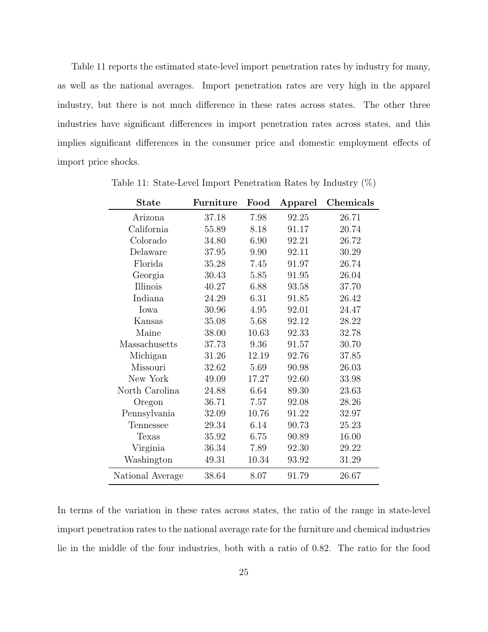Table 11 reports the estimated state-level import penetration rates by industry for many, as well as the national averages. Import penetration rates are very high in the apparel industry, but there is not much difference in these rates across states. The other three industries have significant differences in import penetration rates across states, and this implies significant differences in the consumer price and domestic employment effects of import price shocks.

| <b>State</b>     | Furniture | Food  | Apparel | Chemicals |
|------------------|-----------|-------|---------|-----------|
| Arizona          | 37.18     | 7.98  | 92.25   | 26.71     |
| California       | 55.89     | 8.18  | 91.17   | 20.74     |
| Colorado         | 34.80     | 6.90  | 92.21   | 26.72     |
| Delaware         | 37.95     | 9.90  | 92.11   | 30.29     |
| Florida          | 35.28     | 7.45  | 91.97   | 26.74     |
| Georgia          | 30.43     | 5.85  | 91.95   | 26.04     |
| Illinois         | 40.27     | 6.88  | 93.58   | 37.70     |
| Indiana          | 24.29     | 6.31  | 91.85   | 26.42     |
| Iowa             | 30.96     | 4.95  | 92.01   | 24.47     |
| Kansas           | 35.08     | 5.68  | 92.12   | 28.22     |
| Maine            | 38.00     | 10.63 | 92.33   | 32.78     |
| Massachusetts    | 37.73     | 9.36  | 91.57   | 30.70     |
| Michigan         | 31.26     | 12.19 | 92.76   | 37.85     |
| Missouri         | 32.62     | 5.69  | 90.98   | 26.03     |
| New York         | 49.09     | 17.27 | 92.60   | 33.98     |
| North Carolina   | 24.88     | 6.64  | 89.30   | 23.63     |
| Oregon           | 36.71     | 7.57  | 92.08   | 28.26     |
| Pennsylvania     | 32.09     | 10.76 | 91.22   | 32.97     |
| Tennessee        | 29.34     | 6.14  | 90.73   | 25.23     |
| Texas            | 35.92     | 6.75  | 90.89   | 16.00     |
| Virginia         | 36.34     | 7.89  | 92.30   | 29.22     |
| Washington       | 49.31     | 10.34 | 93.92   | 31.29     |
| National Average | 38.64     | 8.07  | 91.79   | 26.67     |

Table 11: State-Level Import Penetration Rates by Industry (%)

In terms of the variation in these rates across states, the ratio of the range in state-level import penetration rates to the national average rate for the furniture and chemical industries lie in the middle of the four industries, both with a ratio of 0.82. The ratio for the food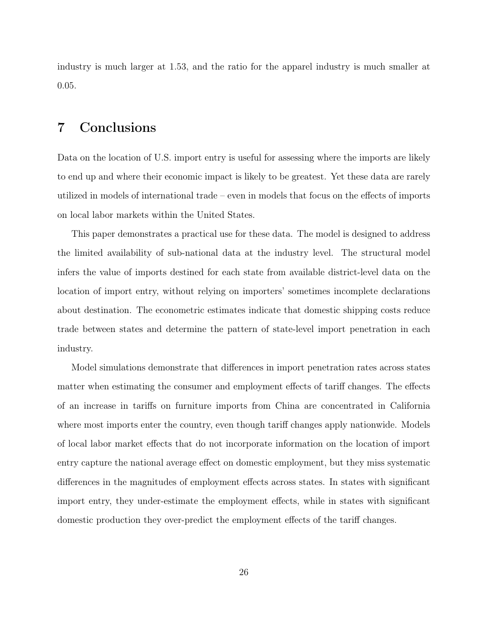industry is much larger at 1.53, and the ratio for the apparel industry is much smaller at 0.05.

# <span id="page-27-0"></span>7 Conclusions

Data on the location of U.S. import entry is useful for assessing where the imports are likely to end up and where their economic impact is likely to be greatest. Yet these data are rarely utilized in models of international trade – even in models that focus on the effects of imports on local labor markets within the United States.

This paper demonstrates a practical use for these data. The model is designed to address the limited availability of sub-national data at the industry level. The structural model infers the value of imports destined for each state from available district-level data on the location of import entry, without relying on importers' sometimes incomplete declarations about destination. The econometric estimates indicate that domestic shipping costs reduce trade between states and determine the pattern of state-level import penetration in each industry.

Model simulations demonstrate that differences in import penetration rates across states matter when estimating the consumer and employment effects of tariff changes. The effects of an increase in tariffs on furniture imports from China are concentrated in California where most imports enter the country, even though tariff changes apply nationwide. Models of local labor market effects that do not incorporate information on the location of import entry capture the national average effect on domestic employment, but they miss systematic differences in the magnitudes of employment effects across states. In states with significant import entry, they under-estimate the employment effects, while in states with significant domestic production they over-predict the employment effects of the tariff changes.